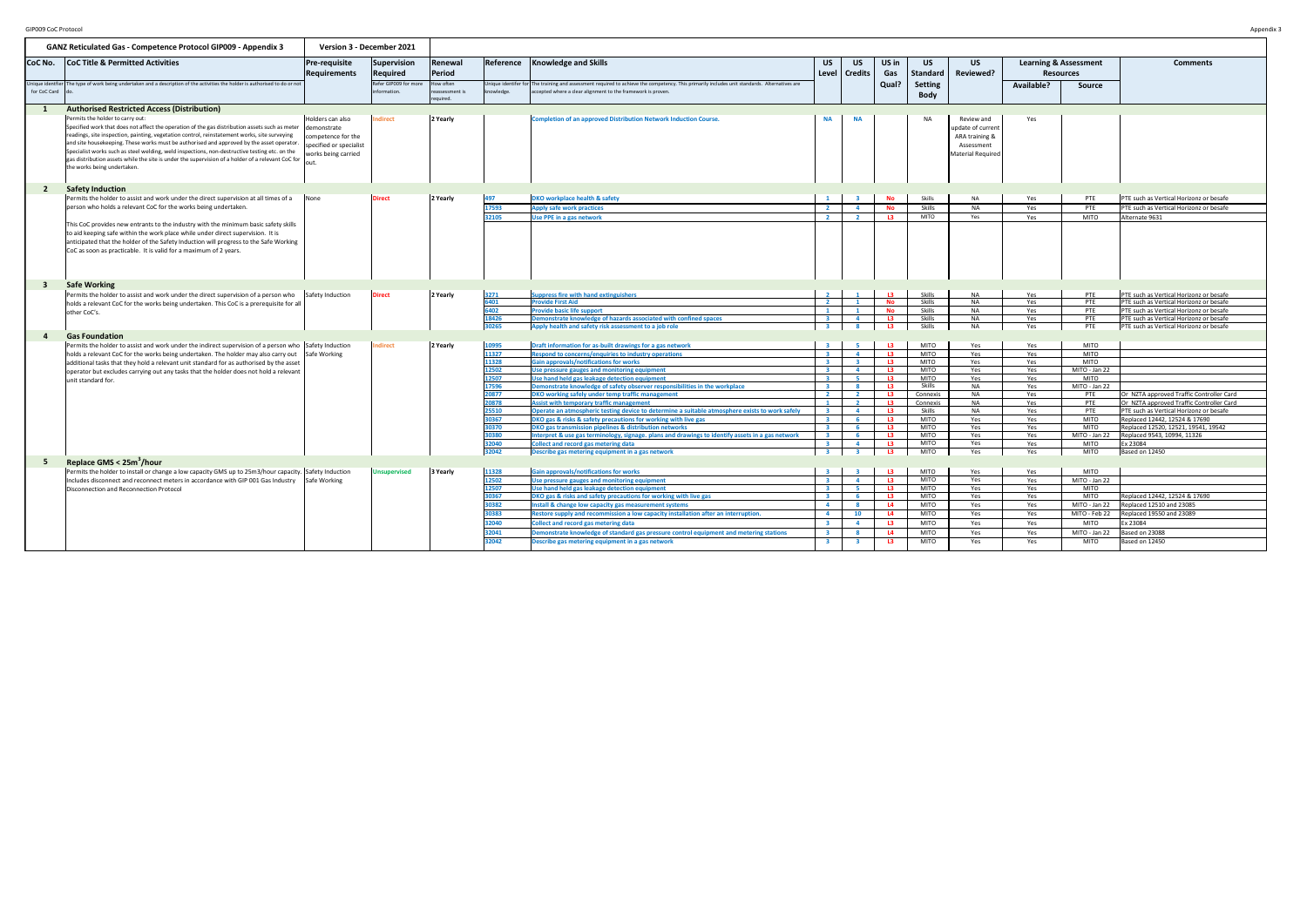| GIP009 CoC Protocol |                                                                                                                                                                                                                                                                                                                                                                                                                                                                                                                                                                      |                                                                                                          |                                      |                                         |                |                                                                                                                                                                                                               |                                           |                                                    |                 |                               |                                                                                             |                                                      |                            | Appendix                                                                             |
|---------------------|----------------------------------------------------------------------------------------------------------------------------------------------------------------------------------------------------------------------------------------------------------------------------------------------------------------------------------------------------------------------------------------------------------------------------------------------------------------------------------------------------------------------------------------------------------------------|----------------------------------------------------------------------------------------------------------|--------------------------------------|-----------------------------------------|----------------|---------------------------------------------------------------------------------------------------------------------------------------------------------------------------------------------------------------|-------------------------------------------|----------------------------------------------------|-----------------|-------------------------------|---------------------------------------------------------------------------------------------|------------------------------------------------------|----------------------------|--------------------------------------------------------------------------------------|
|                     | <b>GANZ Reticulated Gas - Competence Protocol GIP009 - Appendix 3</b>                                                                                                                                                                                                                                                                                                                                                                                                                                                                                                |                                                                                                          | Version 3 - December 2021            |                                         |                |                                                                                                                                                                                                               |                                           |                                                    |                 |                               |                                                                                             |                                                      |                            |                                                                                      |
| CoC No.             | <b>CoC Title &amp; Permitted Activities</b>                                                                                                                                                                                                                                                                                                                                                                                                                                                                                                                          | Pre-requisite<br>Requirements                                                                            | Supervision<br>Required              | Renewal<br>Period                       |                | Reference Knowledge and Skills                                                                                                                                                                                | <b>US</b><br>Level                        | <b>US</b><br><b>Credits</b>                        | US in<br>Gas    | <b>US</b><br><b>Standard</b>  | <b>US</b><br>Reviewed?                                                                      | <b>Learning &amp; Assessment</b><br><b>Resources</b> |                            | <b>Comments</b>                                                                      |
| for CoC Card        | Unique identfier The type of work being undertaken and a description of the activities the holder is authorised to do or not                                                                                                                                                                                                                                                                                                                                                                                                                                         |                                                                                                          | Refer GIP009 for more<br>nformation. | How often<br>eassessment is<br>equired. | knowledge.     | Jnique identifer for The training and assessment required to achieve the competency. This primarily includes unit standards. Alternatives are<br>accepted where a clear alignment to the framework is proven. |                                           |                                                    | Qual?           | <b>Setting</b><br><b>Body</b> |                                                                                             | Available?                                           | Source                     |                                                                                      |
| $\mathbf{1}$        | <b>Authorised Restricted Access (Distribution)</b>                                                                                                                                                                                                                                                                                                                                                                                                                                                                                                                   |                                                                                                          |                                      |                                         |                |                                                                                                                                                                                                               |                                           |                                                    |                 |                               |                                                                                             |                                                      |                            |                                                                                      |
|                     | Permits the holder to carry out:<br>Specified work that does not affect the operation of the gas distribution assets such as meter<br>readings, site inspection, painting, vegetation control, reinstatement works, site surveying<br>and site housekeeping. These works must be authorised and approved by the asset operator.<br>Specialist works such as steel welding, weld inspections, non-destructive testing etc. on the<br>gas distribution assets while the site is under the supervision of a holder of a relevant CoC for<br>the works being undertaken. | Holders can also<br>Idemonstrate<br>competence for the<br>specified or specialist<br>works being carried | <b>Indirect</b>                      | 2 Yearly                                |                | <b>Completion of an approved Distribution Network Induction Course.</b>                                                                                                                                       | <b>NA</b>                                 | <b>NA</b>                                          |                 | <b>NA</b>                     | Review and<br>update of current<br>ARA training &<br>Assessment<br><b>Material Required</b> | Yes                                                  |                            |                                                                                      |
| $\overline{2}$      | <b>Safety Induction</b>                                                                                                                                                                                                                                                                                                                                                                                                                                                                                                                                              |                                                                                                          |                                      |                                         |                |                                                                                                                                                                                                               |                                           |                                                    |                 |                               |                                                                                             |                                                      |                            |                                                                                      |
|                     | Permits the holder to assist and work under the direct supervision at all times of a                                                                                                                                                                                                                                                                                                                                                                                                                                                                                 | <b>INone</b>                                                                                             | Direct                               | 2 Yearly                                | 497            | <b>DKO workplace health &amp; safety</b>                                                                                                                                                                      | $\blacksquare$                            | $\overline{\mathbf{a}}$                            | <b>No</b>       | Skills                        | <b>NA</b>                                                                                   | Yes                                                  | PTE                        | PTE such as Vertical Horizonz or besafe                                              |
|                     | person who holds a relevant CoC for the works being undertaken.                                                                                                                                                                                                                                                                                                                                                                                                                                                                                                      |                                                                                                          |                                      |                                         | 17593          | <b>Apply safe work practices</b>                                                                                                                                                                              | $\overline{\mathbf{2}}$                   | $\overline{4}$                                     | No              | Skills                        | NA                                                                                          | Yes                                                  | PTE                        | PTE such as Vertical Horizonz or besafe                                              |
|                     | This CoC provides new entrants to the industry with the minimum basic safety skills<br>to aid keeping safe within the work place while under direct supervision. It is<br>anticipated that the holder of the Safety Induction will progress to the Safe Working<br>CoC as soon as practicable. It is valid for a maximum of 2 years.                                                                                                                                                                                                                                 |                                                                                                          |                                      |                                         | 32105          | Use PPE in a gas network                                                                                                                                                                                      | $\overline{2}$                            |                                                    | $\overline{13}$ | <b>MITO</b>                   | Yes                                                                                         | Yes                                                  | <b>MITO</b>                | Alternate 9631                                                                       |
| $3^{\circ}$         | <b>Safe Working</b>                                                                                                                                                                                                                                                                                                                                                                                                                                                                                                                                                  |                                                                                                          |                                      |                                         |                |                                                                                                                                                                                                               |                                           |                                                    |                 |                               |                                                                                             |                                                      |                            |                                                                                      |
|                     | Permits the holder to assist and work under the direct supervision of a person who                                                                                                                                                                                                                                                                                                                                                                                                                                                                                   | Safety Induction                                                                                         | <b>Direct</b>                        | 2 Yearly                                | 3271           | <b>Suppress fire with hand extinguishers</b>                                                                                                                                                                  |                                           |                                                    | $\overline{13}$ | Skills                        | <b>NA</b>                                                                                   | Yes                                                  | PTE                        | PTE such as Vertical Horizonz or besafe                                              |
|                     | holds a relevant CoC for the works being undertaken. This CoC is a prerequisite for all                                                                                                                                                                                                                                                                                                                                                                                                                                                                              |                                                                                                          |                                      |                                         | 6401           | <b>Provide First Aid</b>                                                                                                                                                                                      | $\overline{2}$                            |                                                    | <b>No</b>       | Skills                        | <b>NA</b>                                                                                   | Yes                                                  | PTE                        | PTE such as Vertical Horizonz or besafe                                              |
|                     | other CoC's.                                                                                                                                                                                                                                                                                                                                                                                                                                                                                                                                                         |                                                                                                          |                                      |                                         | 6402           | <b>Provide basic life support</b>                                                                                                                                                                             | $\mathbf{1}$<br>$\overline{2}$            | $\overline{1}$                                     | <b>No</b>       | Skills                        | <b>NA</b>                                                                                   | Yes                                                  | PTE                        | PTE such as Vertical Horizonz or besafe                                              |
|                     |                                                                                                                                                                                                                                                                                                                                                                                                                                                                                                                                                                      |                                                                                                          |                                      |                                         | 18426<br>30265 | Demonstrate knowledge of hazards associated with confined spaces<br>Apply health and safety risk assessment to a job role                                                                                     | $\overline{\mathbf{3}}$                   | $\overline{4}$<br>$\overline{\mathbf{8}}$          | L3<br>L3        | Skills<br>Skills              | <b>NA</b><br>NA                                                                             | Yes<br>Yes                                           | PTE<br>PTE                 | PTE such as Vertical Horizonz or besafe<br>PTE such as Vertical Horizonz or besafe   |
| 4                   | <b>Gas Foundation</b>                                                                                                                                                                                                                                                                                                                                                                                                                                                                                                                                                |                                                                                                          |                                      |                                         |                |                                                                                                                                                                                                               |                                           |                                                    |                 |                               |                                                                                             |                                                      |                            |                                                                                      |
|                     | Permits the holder to assist and work under the indirect supervision of a person who Safety Induction                                                                                                                                                                                                                                                                                                                                                                                                                                                                |                                                                                                          | <b>Indirect</b>                      | 2 Yearly                                | 10995          | Draft information for as-built drawings for a gas network                                                                                                                                                     |                                           |                                                    | L3              | <b>MITO</b>                   | Yes                                                                                         | Yes                                                  | <b>MITO</b>                |                                                                                      |
|                     | holds a relevant CoC for the works being undertaken. The holder may also carry out                                                                                                                                                                                                                                                                                                                                                                                                                                                                                   | Safe Working                                                                                             |                                      |                                         | 11327          | Respond to concerns/enquiries to industry operations                                                                                                                                                          | $\mathbf{R}$                              | $\overline{4}$                                     | L3              | <b>MITO</b>                   | Yes                                                                                         | Yes                                                  | <b>MITO</b>                |                                                                                      |
|                     | additional tasks that they hold a relevant unit standard for as authorised by the asset                                                                                                                                                                                                                                                                                                                                                                                                                                                                              |                                                                                                          |                                      |                                         | 11328          | <b>Gain approvals/notifications for works</b>                                                                                                                                                                 | $\overline{\mathbf{3}}$                   | $\overline{\mathbf{3}}$                            | L3              | <b>MITO</b>                   | Yes                                                                                         | Yes                                                  | <b>MITO</b>                |                                                                                      |
|                     | operator but excludes carrying out any tasks that the holder does not hold a relevant                                                                                                                                                                                                                                                                                                                                                                                                                                                                                |                                                                                                          |                                      |                                         | 12502          | Use pressure gauges and monitoring equipment                                                                                                                                                                  | $\overline{\mathbf{3}}$                   | $\overline{a}$                                     | L3              | MITO                          | Yes                                                                                         | Yes                                                  | MITO - Jan 22              |                                                                                      |
|                     | unit standard for.                                                                                                                                                                                                                                                                                                                                                                                                                                                                                                                                                   |                                                                                                          |                                      |                                         | 12507          | Use hand held gas leakage detection equipment                                                                                                                                                                 | $\overline{\mathbf{a}}$                   | <b>S</b>                                           | L3              | <b>MITO</b>                   | Yes                                                                                         | Yes                                                  | <b>MITO</b>                |                                                                                      |
|                     |                                                                                                                                                                                                                                                                                                                                                                                                                                                                                                                                                                      |                                                                                                          |                                      |                                         | 17596<br>20877 | Demonstrate knowledge of safety observer responsibilities in the workplace                                                                                                                                    | $\overline{\mathbf{3}}$<br>$\overline{2}$ | $\overline{\mathbf{8}}$<br>$\overline{\mathbf{2}}$ | L3<br><b>L3</b> | Skills                        | <b>NA</b><br><b>NA</b>                                                                      | Yes                                                  | MITO - Jan 22<br>PTE       |                                                                                      |
|                     |                                                                                                                                                                                                                                                                                                                                                                                                                                                                                                                                                                      |                                                                                                          |                                      |                                         | 20878          | DKO working safely under temp traffic management<br><b>Assist with temporary traffic management</b>                                                                                                           | $\blacksquare$                            | $\overline{2}$                                     | $\overline{13}$ | Connexis<br>Connexis          | <b>NA</b>                                                                                   | Yes<br>Yes                                           | PTE                        | Or NZTA approved Traffic Controller Card<br>Or NZTA approved Traffic Controller Card |
|                     |                                                                                                                                                                                                                                                                                                                                                                                                                                                                                                                                                                      |                                                                                                          |                                      |                                         | 25510          | Operate an atmospheric testing device to determine a suitable atmosphere exists to work safely                                                                                                                | $\overline{\mathbf{3}}$                   | $\overline{4}$                                     | L3              | Skills                        | <b>NA</b>                                                                                   | Yes                                                  | PTE                        | PTE such as Vertical Horizonz or besafe                                              |
|                     |                                                                                                                                                                                                                                                                                                                                                                                                                                                                                                                                                                      |                                                                                                          |                                      |                                         | 30367          | DKO gas & risks & safety precautions for working with live gas                                                                                                                                                | $\overline{\mathbf{3}}$                   | 6                                                  | L3              | <b>MITO</b>                   | Yes                                                                                         | Yes                                                  | <b>MITO</b>                | Replaced 12442, 12524 & 17690                                                        |
|                     |                                                                                                                                                                                                                                                                                                                                                                                                                                                                                                                                                                      |                                                                                                          |                                      |                                         | 30370          | DKO gas transmission pipelines & distribution networks                                                                                                                                                        | $\overline{2}$                            | $\epsilon$                                         | L3              | <b>MITO</b>                   | Yes                                                                                         | Yes                                                  | <b>MITO</b>                | Replaced 12520, 12521, 19541, 19542                                                  |
|                     |                                                                                                                                                                                                                                                                                                                                                                                                                                                                                                                                                                      |                                                                                                          |                                      |                                         | 30380          | Interpret & use gas terminology, signage. plans and drawings to identify assets in a gas network                                                                                                              | $\overline{\mathbf{3}}$                   | 6                                                  | L3              | <b>MITO</b>                   | Yes                                                                                         | Yes                                                  |                            | MITO - Jan 22 Replaced 9543, 10994, 11326                                            |
|                     |                                                                                                                                                                                                                                                                                                                                                                                                                                                                                                                                                                      |                                                                                                          |                                      |                                         | 32040          | Collect and record gas metering data                                                                                                                                                                          | $\overline{\mathbf{3}}$                   | $\overline{4}$                                     | L3              | <b>MITO</b>                   | Yes                                                                                         | Yes                                                  | <b>MITO</b>                | Ex 23084                                                                             |
|                     |                                                                                                                                                                                                                                                                                                                                                                                                                                                                                                                                                                      |                                                                                                          |                                      |                                         | 32042          | Describe gas metering equipment in a gas network                                                                                                                                                              | $\overline{\mathbf{3}}$                   | $\overline{\mathbf{3}}$                            | L3              | <b>MITO</b>                   | Yes                                                                                         | Yes                                                  | <b>MITO</b>                | Based on 12450                                                                       |
| 5 <sub>1</sub>      | Replace GMS < 25m <sup>3</sup> /hour                                                                                                                                                                                                                                                                                                                                                                                                                                                                                                                                 |                                                                                                          |                                      |                                         |                |                                                                                                                                                                                                               |                                           |                                                    |                 |                               |                                                                                             |                                                      |                            |                                                                                      |
|                     | Permits the holder to install or change a low capacity GMS up to 25m3/hour capacity. Safety Induction                                                                                                                                                                                                                                                                                                                                                                                                                                                                |                                                                                                          | <b>Unsupervised</b>                  | 3 Yearly                                | 11328          | <b>Gain approvals/notifications for works</b>                                                                                                                                                                 |                                           | $\overline{z}$                                     | L3              | <b>MITO</b>                   | Yes                                                                                         | Yes                                                  | <b>MITO</b>                |                                                                                      |
|                     | Includes disconnect and reconnect meters in accordance with GIP 001 Gas Industry Safe Working                                                                                                                                                                                                                                                                                                                                                                                                                                                                        |                                                                                                          |                                      |                                         | 12502          | Use pressure gauges and monitoring equipment                                                                                                                                                                  | $\overline{\mathbf{3}}$                   | $\overline{4}$                                     | L3              | <b>MITO</b>                   | Yes                                                                                         | Yes                                                  | MITO - Jan 22              |                                                                                      |
|                     | Disconnection and Reconnection Protocol                                                                                                                                                                                                                                                                                                                                                                                                                                                                                                                              |                                                                                                          |                                      |                                         | 12507<br>30367 | Use hand held gas leakage detection equipment                                                                                                                                                                 | $\mathbf{R}$                              | - 6                                                | L3<br>L3        | MITO<br><b>MITO</b>           | Yes<br>Yes                                                                                  | Yes<br>Yes                                           | <b>MITO</b><br><b>MITO</b> | Replaced 12442, 12524 & 17690                                                        |
|                     |                                                                                                                                                                                                                                                                                                                                                                                                                                                                                                                                                                      |                                                                                                          |                                      |                                         | 30382          | DKO gas & risks and safety precautions for working with live gas<br>Install & change low capacity gas measurement systems                                                                                     | $\overline{a}$                            | $\overline{\mathbf{8}}$                            | L4              | <b>MITO</b>                   | Yes                                                                                         | Yes                                                  | MITO - Jan 22              | Replaced 12510 and 23085                                                             |
|                     |                                                                                                                                                                                                                                                                                                                                                                                                                                                                                                                                                                      |                                                                                                          |                                      |                                         | 30383          | Restore supply and recommission a low capacity installation after an interruption.                                                                                                                            | $\overline{4}$                            | 10                                                 | L4              | <b>MITO</b>                   | Yes                                                                                         | Yes                                                  | MITO - Feb 22              | Replaced 19550 and 23089                                                             |
|                     |                                                                                                                                                                                                                                                                                                                                                                                                                                                                                                                                                                      |                                                                                                          |                                      |                                         | 32040          |                                                                                                                                                                                                               | $\overline{\mathbf{3}}$                   | $\Delta$                                           | L3              | <b>MITO</b>                   | Yes                                                                                         |                                                      | <b>MITO</b>                | Ex 23084                                                                             |
|                     |                                                                                                                                                                                                                                                                                                                                                                                                                                                                                                                                                                      |                                                                                                          |                                      |                                         | 32041          | Collect and record gas metering data                                                                                                                                                                          | $\overline{\mathbf{3}}$                   | -8                                                 | L4              | <b>MITO</b>                   | Yes                                                                                         | Yes                                                  | MITO - Jan 22              | Based on 23088                                                                       |
|                     |                                                                                                                                                                                                                                                                                                                                                                                                                                                                                                                                                                      |                                                                                                          |                                      |                                         |                | Demonstrate knowledge of standard gas pressure control equipment and metering stations                                                                                                                        |                                           |                                                    |                 | <b>MITO</b>                   | Yes                                                                                         | Yes<br>Yes                                           | <b>MITO</b>                |                                                                                      |
|                     |                                                                                                                                                                                                                                                                                                                                                                                                                                                                                                                                                                      |                                                                                                          |                                      |                                         | 32042          | Describe gas metering equipment in a gas network                                                                                                                                                              | $\overline{\mathbf{3}}$                   | $\mathbf{3}$                                       | L3              |                               |                                                                                             |                                                      |                            | Based on 12450                                                                       |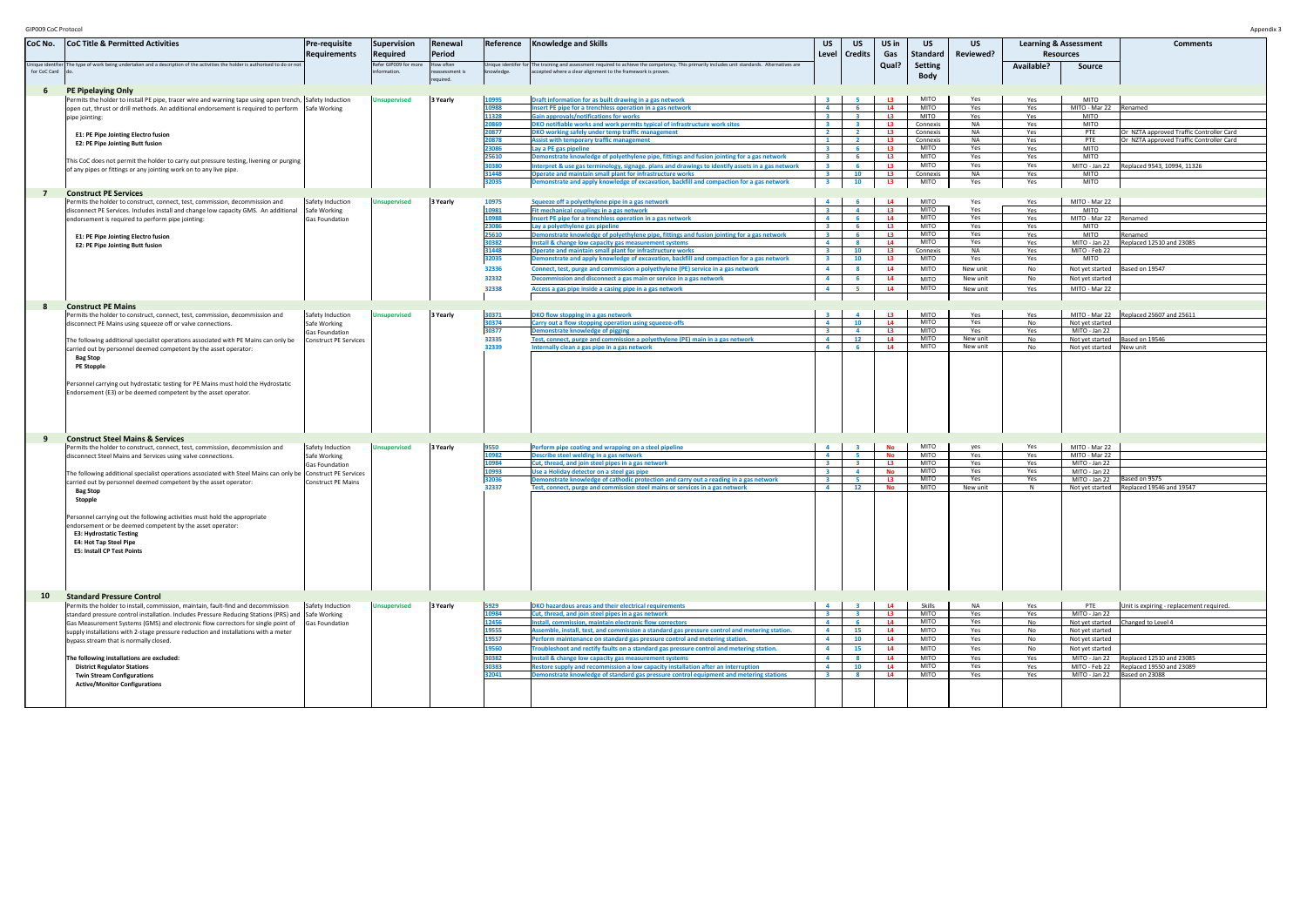| GIP009 CoC Protocol             |                                                                                                                                                                                                                                                                                                                                                                                                                                                                                                                                                                                                                                                                                                                                                                                                                                                                   |                                                                                    |                                            |                                  |                                                                                                                                                                                  |                                                                                                                                                                                                                                                                                                                                                                                                                                                                                                                                                                                                                                                                                                                                                                                                                                                                                                                                                                                                                                                                                                                                                                                                                                                                                                                                                       |                                                                                                                                                                                                                                                                                                                                                                                                                                                            |                                                                                                                                                                                           |                                                                                                                                                       |                                                                                                                                                                                                                                                                             |                                                                                                                                                                             |                                                                                                                                         |                                                                                                                                                                                                                                                                                                         | Appendix 3                                                                                                                                                                                 |
|---------------------------------|-------------------------------------------------------------------------------------------------------------------------------------------------------------------------------------------------------------------------------------------------------------------------------------------------------------------------------------------------------------------------------------------------------------------------------------------------------------------------------------------------------------------------------------------------------------------------------------------------------------------------------------------------------------------------------------------------------------------------------------------------------------------------------------------------------------------------------------------------------------------|------------------------------------------------------------------------------------|--------------------------------------------|----------------------------------|----------------------------------------------------------------------------------------------------------------------------------------------------------------------------------|-------------------------------------------------------------------------------------------------------------------------------------------------------------------------------------------------------------------------------------------------------------------------------------------------------------------------------------------------------------------------------------------------------------------------------------------------------------------------------------------------------------------------------------------------------------------------------------------------------------------------------------------------------------------------------------------------------------------------------------------------------------------------------------------------------------------------------------------------------------------------------------------------------------------------------------------------------------------------------------------------------------------------------------------------------------------------------------------------------------------------------------------------------------------------------------------------------------------------------------------------------------------------------------------------------------------------------------------------------|------------------------------------------------------------------------------------------------------------------------------------------------------------------------------------------------------------------------------------------------------------------------------------------------------------------------------------------------------------------------------------------------------------------------------------------------------------|-------------------------------------------------------------------------------------------------------------------------------------------------------------------------------------------|-------------------------------------------------------------------------------------------------------------------------------------------------------|-----------------------------------------------------------------------------------------------------------------------------------------------------------------------------------------------------------------------------------------------------------------------------|-----------------------------------------------------------------------------------------------------------------------------------------------------------------------------|-----------------------------------------------------------------------------------------------------------------------------------------|---------------------------------------------------------------------------------------------------------------------------------------------------------------------------------------------------------------------------------------------------------------------------------------------------------|--------------------------------------------------------------------------------------------------------------------------------------------------------------------------------------------|
| CoC No.                         | <b>CoC Title &amp; Permitted Activities</b>                                                                                                                                                                                                                                                                                                                                                                                                                                                                                                                                                                                                                                                                                                                                                                                                                       | Pre-requisite<br>Requirements                                                      | Supervision<br><b>Required</b>             | Renewal<br>Period                |                                                                                                                                                                                  | Reference   Knowledge and Skills                                                                                                                                                                                                                                                                                                                                                                                                                                                                                                                                                                                                                                                                                                                                                                                                                                                                                                                                                                                                                                                                                                                                                                                                                                                                                                                      | <b>US</b><br>Level                                                                                                                                                                                                                                                                                                                                                                                                                                         | US<br><b>Credits</b>                                                                                                                                                                      | US in<br>Gas                                                                                                                                          | <b>US</b><br><b>Standard</b>                                                                                                                                                                                                                                                | <b>US</b><br>Reviewed?                                                                                                                                                      |                                                                                                                                         | <b>Learning &amp; Assessment</b><br><b>Resources</b>                                                                                                                                                                                                                                                    | <b>Comments</b>                                                                                                                                                                            |
| nique identfier<br>for CoC Card | The type of work being undertaken and a description of the activities the holder is authorised to do or no                                                                                                                                                                                                                                                                                                                                                                                                                                                                                                                                                                                                                                                                                                                                                        |                                                                                    | Refer GIP009 for more<br>information.      | low often<br>eassessment is      | knowledge.                                                                                                                                                                       | Unique identifer for The training and assessment required to achieve the competency. This primarily includes unit standards. Alternatives are<br>accepted where a clear alignment to the framework is proven.                                                                                                                                                                                                                                                                                                                                                                                                                                                                                                                                                                                                                                                                                                                                                                                                                                                                                                                                                                                                                                                                                                                                         |                                                                                                                                                                                                                                                                                                                                                                                                                                                            |                                                                                                                                                                                           | Qual?                                                                                                                                                 | <b>Setting</b><br><b>Body</b>                                                                                                                                                                                                                                               |                                                                                                                                                                             | Available?                                                                                                                              | Source                                                                                                                                                                                                                                                                                                  |                                                                                                                                                                                            |
| 6<br>$\overline{7}$             | PE Pipelaying Only<br>Permits the holder to install PE pipe, tracer wire and warning tape using open trench, Safety Induction<br>open cut, thrust or drill methods. An additional endorsement is required to perform Safe Working<br>pipe jointing:<br><b>E1: PE Pipe Jointing Electro fusion</b><br><b>E2: PE Pipe Jointing Butt fusion</b><br>This CoC does not permit the holder to carry out pressure testing, livening or purging<br>of any pipes or fittings or any jointing work on to any live pipe.<br><b>Construct PE Services</b><br>Permits the holder to construct, connect, test, commission, decommission and<br>disconnect PE Services. Includes install and change low capacity GMS. An additional<br>endorsement is required to perform pipe jointing:<br><b>E1: PE Pipe Jointing Electro fusion</b><br><b>E2: PE Pipe Jointing Butt fusion</b> | Safety Induction<br>Safe Working<br><b>Gas Foundation</b>                          | <b>Unsupervised</b><br><b>Unsupervised</b> | equired.<br>3 Yearly<br>3 Yearly | 10995<br>10988<br>11328<br>20869<br>20877<br>20878<br>23086<br>25610<br>30380<br>31448<br>32035<br>10975<br>10981<br>10988<br>23086<br>25610<br>30382<br>31448<br>32035<br>32336 | Draft information for as built drawing in a gas network<br>Insert PE pipe for a trenchless operation in a gas network<br><b>Gain approvals/notifications for works</b><br>DKO notifiable works and work permits typical of infrastructure work sites<br>DKO working safely under temp traffic management<br><b>Assist with temporary traffic management</b><br>Lay a PE gas pipeline<br>Demonstrate knowledge of polyethylene pipe, fittings and fusion jointing for a gas network<br>Interpret & use gas terminology, signage. plans and drawings to identify assets in a gas network<br>Operate and maintain small plant for infrastructure works<br>Demonstrate and apply knowledge of excavation, backfill and compaction for a gas network<br>Squeeze off a polyethylene pipe in a gas network<br>Fit mechanical couplings in a gas network<br>Insert PE pipe for a trenchless operation in a gas network<br>Lay a polyethylene gas pipeline<br>Demonstrate knowledge of polyethylene pipe, fittings and fusion jointing for a gas network<br>Install & change low capacity gas measurement systems<br>Operate and maintain small plant for infrastructure works<br>Demonstrate and apply knowledge of excavation, backfill and compaction for a gas network<br>Connect, test, purge and commission a polyethylene (PE) service in a gas network | $\mathbf{R}$<br>$\overline{a}$<br>$\overline{\mathbf{3}}$<br>$\overline{\mathbf{3}}$<br>$\overline{2}$<br>$\blacksquare$<br>$\overline{\mathbf{3}}$<br>$\overline{\mathbf{3}}$<br>$\overline{\mathbf{3}}$<br>$\overline{\mathbf{3}}$<br>$\overline{\mathbf{3}}$<br>$\overline{a}$<br>$\mathbf{R}$<br>$\overline{4}$<br>$\overline{2}$<br>$\overline{\mathbf{3}}$<br>$\overline{4}$<br>$\overline{\mathbf{3}}$<br>$\overline{\mathbf{3}}$<br>$\overline{4}$ | -51<br>6<br>$\mathbf{R}$<br>$\overline{2}$<br>$\overline{2}$<br>- 6<br>- 6<br>-6<br>10<br>10<br>$\overline{a}$<br>6<br>$\overline{a}$<br>- 6<br>$\overline{\mathbf{8}}$<br>10<br>10<br>-8 | L3<br>L4<br><b>L3</b><br>L3<br>L3<br>$\overline{13}$<br>L3<br>L3<br>L3<br>L3<br>L3<br>L4<br>L3<br>L4<br>$\overline{13}$<br>L3<br>L4<br>L3<br>L3<br>L4 | <b>MITO</b><br><b>MITO</b><br><b>MITO</b><br>Connexis<br>Connexis<br>Connexis<br>MITO<br><b>MITO</b><br><b>MITO</b><br>Connexis<br><b>MITO</b><br><b>MITO</b><br><b>MITO</b><br><b>MITO</b><br><b>MITO</b><br>MITO<br><b>MITO</b><br>Connexis<br><b>MITO</b><br><b>MITO</b> | Yes<br>Yes<br>Yes<br><b>NA</b><br><b>NA</b><br><b>NA</b><br>Yes<br>Yes<br>Yes<br><b>NA</b><br>Yes<br>Yes<br>Yes<br>Yes<br>Yes<br>Yes<br>Yes<br><b>NA</b><br>Yes<br>New unit | Yes<br>Yes<br>Yes<br>Yes<br>Yes<br>Yes<br>Yes<br>Yes<br>Yes<br>Yes<br>Yes<br>Yes<br>Yes<br>Yes<br>Yes<br>Yes<br>Yes<br>Yes<br>Yes<br>No | <b>MITO</b><br>MITO - Mar 22 Renamed<br><b>MITO</b><br><b>MITO</b><br>PTE<br>PTE<br><b>MITO</b><br><b>MITO</b><br><b>MITO</b><br><b>MITO</b><br>MITO - Mar 22<br><b>MITO</b><br>MITO - Mar 22 Renamed<br><b>MITO</b><br><b>MITO</b><br>MITO - Jan 22<br>MITO - Feb 22<br><b>MITO</b><br>Not yet started | Or NZTA approved Traffic Controller Card<br>Or NZTA approved Traffic Controller Card<br>MITO - Jan 22 Replaced 9543, 10994, 11326<br>Renamed<br>Replaced 12510 and 23085<br>Based on 19547 |
|                                 |                                                                                                                                                                                                                                                                                                                                                                                                                                                                                                                                                                                                                                                                                                                                                                                                                                                                   |                                                                                    |                                            |                                  | 32332<br>32338                                                                                                                                                                   | Decommission and disconnect a gas main or service in a gas network<br>Access a gas pipe inside a casing pipe in a gas network                                                                                                                                                                                                                                                                                                                                                                                                                                                                                                                                                                                                                                                                                                                                                                                                                                                                                                                                                                                                                                                                                                                                                                                                                         | $\overline{4}$<br>$\overline{a}$                                                                                                                                                                                                                                                                                                                                                                                                                           | - 6<br><b>C</b>                                                                                                                                                                           | L4<br>L4                                                                                                                                              | <b>MITO</b><br>MITO                                                                                                                                                                                                                                                         | New unit<br>New unit                                                                                                                                                        | No<br>Yes                                                                                                                               | Not yet started<br>MITO - Mar 22                                                                                                                                                                                                                                                                        |                                                                                                                                                                                            |
| 8                               | <b>Construct PE Mains</b><br>Permits the holder to construct, connect, test, commission, decommission and<br>disconnect PE Mains using squeeze off or valve connections.<br>The following additional specialist operations associated with PE Mains can only be<br>carried out by personnel deemed competent by the asset operator:<br><b>Bag Stop</b><br><b>PE Stopple</b><br>Personnel carrying out hydrostatic testing for PE Mains must hold the Hydrostatic<br>Endorsement (E3) or be deemed competent by the asset operator.                                                                                                                                                                                                                                                                                                                                | Safety Induction<br>Safe Working<br><b>Gas Foundation</b><br>Construct PE Services | <b>Unsupervised</b>                        | 3 Yearly                         | 30371<br>30374<br>30377<br>32335<br>32339                                                                                                                                        | DKO flow stopping in a gas network<br>Carry out a flow stopping operation using squeeze-offs<br><b>Demonstrate knowledge of pigging</b><br>Test, connect, purge and commission a polyethylene (PE) main in a gas network<br>Internally clean a gas pipe in a gas network                                                                                                                                                                                                                                                                                                                                                                                                                                                                                                                                                                                                                                                                                                                                                                                                                                                                                                                                                                                                                                                                              | $\overline{\mathbf{a}}$<br>$\overline{4}$<br>$\overline{\mathbf{3}}$<br>$\overline{4}$<br>$\overline{4}$                                                                                                                                                                                                                                                                                                                                                   | $\overline{a}$<br>10<br>$\overline{a}$<br>12<br>6                                                                                                                                         | L3<br>L4<br>L3<br>L4<br>L4                                                                                                                            | <b>MITO</b><br><b>MITO</b><br><b>MITO</b><br><b>MITO</b><br><b>MITO</b>                                                                                                                                                                                                     | Yes<br>Yes<br>Yes<br>New unit<br>New unit                                                                                                                                   | Yes<br>No<br>Yes<br>No<br>No                                                                                                            | Not yet started<br>MITO - Jan 22<br>Not yet started Based on 19546<br>Not yet started New unit                                                                                                                                                                                                          | MITO - Mar 22 Replaced 25607 and 25611                                                                                                                                                     |
| 9                               | <b>Construct Steel Mains &amp; Services</b><br>Permits the holder to construct, connect, test, commission, decommission and<br>disconnect Steel Mains and Services using valve connections.<br>The following additional specialist operations associated with Steel Mains can only be Construct PE Services<br>carried out by personnel deemed competent by the asset operator:<br><b>Bag Stop</b><br>Stopple<br>Personnel carrying out the following activities must hold the appropriate<br>endorsement or be deemed competent by the asset operator:<br><b>E3: Hydrostatic Testing</b><br><b>E4: Hot Tap Steel Pipe</b><br><b>E5: Install CP Test Points</b>                                                                                                                                                                                                   | Safety Induction<br>Safe Working<br>Gas Foundation<br><b>Construct PE Mains</b>    | <b>Unsupervised</b>                        | 3 Yearly                         | 9550<br>10982<br>10984<br>10993<br>32036<br>32337                                                                                                                                | Perform pipe coating and wrapping on a steel pipeline<br>Describe steel welding in a gas network<br>Cut, thread, and join steel pipes in a gas network<br>Use a Holiday detector on a steel gas pipe<br>Demonstrate knowledge of cathodic protection and carry out a reading in a gas network<br>Test, connect, purge and commission steel mains or services in a gas network                                                                                                                                                                                                                                                                                                                                                                                                                                                                                                                                                                                                                                                                                                                                                                                                                                                                                                                                                                         | $\mathbf{A}$<br>$\overline{4}$<br>$\overline{\mathbf{a}}$<br>$\overline{\mathbf{3}}$<br>$\overline{\mathbf{a}}$<br>$\overline{4}$                                                                                                                                                                                                                                                                                                                          | $-5$<br>$\sim$ 2<br>$\overline{4}$<br>12                                                                                                                                                  | <b>No</b><br>No<br>L3<br>No<br>L3<br><b>No</b>                                                                                                        | <b>MITO</b><br><b>MITO</b><br><b>MITO</b><br>MITO<br><b>MITO</b><br><b>MITO</b>                                                                                                                                                                                             | yes<br>Yes<br>Yes<br>Yes<br>Yes<br>New unit                                                                                                                                 | Yes<br>Yes<br>Yes<br>Yes<br>Yes<br>N                                                                                                    | MITO - Mar 22<br>MITO - Mar 22<br>MITO - Jan 22<br>MITO - Jan 22<br>MITO - Jan 22                                                                                                                                                                                                                       | Based on 9575<br>Not yet started Replaced 19546 and 19547                                                                                                                                  |
| 10                              | <b>Standard Pressure Control</b><br>Permits the holder to install, commission, maintain, fault-find and decommission<br>standard pressure control installation. Includes Pressure Reducing Stations (PRS) and Safe Working                                                                                                                                                                                                                                                                                                                                                                                                                                                                                                                                                                                                                                        | Safety Induction                                                                   | <b>Unsupervised</b>                        | 3 Yearly                         | 5929<br>10984                                                                                                                                                                    | DKO hazardous areas and their electrical requirements<br>Cut, thread, and join steel pipes in a gas network                                                                                                                                                                                                                                                                                                                                                                                                                                                                                                                                                                                                                                                                                                                                                                                                                                                                                                                                                                                                                                                                                                                                                                                                                                           | $\overline{a}$<br>$\overline{\mathbf{3}}$                                                                                                                                                                                                                                                                                                                                                                                                                  | $\mathbf{R}$                                                                                                                                                                              | L4<br>L3                                                                                                                                              | Skills<br>MITO                                                                                                                                                                                                                                                              | <b>NA</b><br>Yes                                                                                                                                                            | Yes<br>Yes                                                                                                                              | PTE<br>MITO - Jan 22                                                                                                                                                                                                                                                                                    | Unit is expiring - replacement required.                                                                                                                                                   |
|                                 | Gas Measurement Systems (GMS) and electronic flow correctors for single point of Gas Foundation<br>supply installations with 2-stage pressure reduction and installations with a meter<br>bypass stream that is normally closed.<br>The following installations are excluded:<br><b>District Regulator Stations</b><br><b>Twin Stream Configurations</b><br><b>Active/Monitor Configurations</b>                                                                                                                                                                                                                                                                                                                                                                                                                                                                  |                                                                                    |                                            |                                  | 12456<br>19555<br>19557<br>19560<br>30382<br>30383<br>32041                                                                                                                      | Install, commission, maintain electronic flow correctors<br>Assemble, install, test, and commission a standard gas pressure control and metering station.<br>Perform maintenance on standard gas pressure control and metering station.<br>Troubleshoot and rectify faults on a standard gas pressure control and metering station.<br>nstall & change low capacity gas measurement systems<br>Restore supply and recommission a low capacity installation after an interruption<br>Demonstrate knowledge of standard gas pressure control equipment and metering stations                                                                                                                                                                                                                                                                                                                                                                                                                                                                                                                                                                                                                                                                                                                                                                            | $\overline{4}$<br>$\overline{4}$<br>$\overline{4}$<br>$\overline{4}$<br>$\overline{a}$<br>$\overline{4}$<br>$\overline{\mathbf{3}}$                                                                                                                                                                                                                                                                                                                        | 6<br>15<br>10<br>15<br>$\mathbf{R}$<br>10<br>$\overline{\mathbf{8}}$                                                                                                                      | L4<br>L4<br>L4<br>L4<br>L4<br>L4<br>L4                                                                                                                | MITO<br>MITO<br>MITO<br><b>MITO</b><br><b>MITO</b><br>MITO<br>MITO                                                                                                                                                                                                          | Yes<br>Yes<br>Yes<br>Yes<br>Yes<br>Yes<br>Yes                                                                                                                               | No<br>No<br>No<br>No<br>Yes<br>Yes<br>Yes                                                                                               | Not yet started<br>Not yet started<br>Not yet started<br>MITO - Jan 22 Based on 23088                                                                                                                                                                                                                   | Not yet started Changed to Level 4<br>MITO - Jan 22 Replaced 12510 and 23085<br>MITO - Feb 22 Replaced 19550 and 23089                                                                     |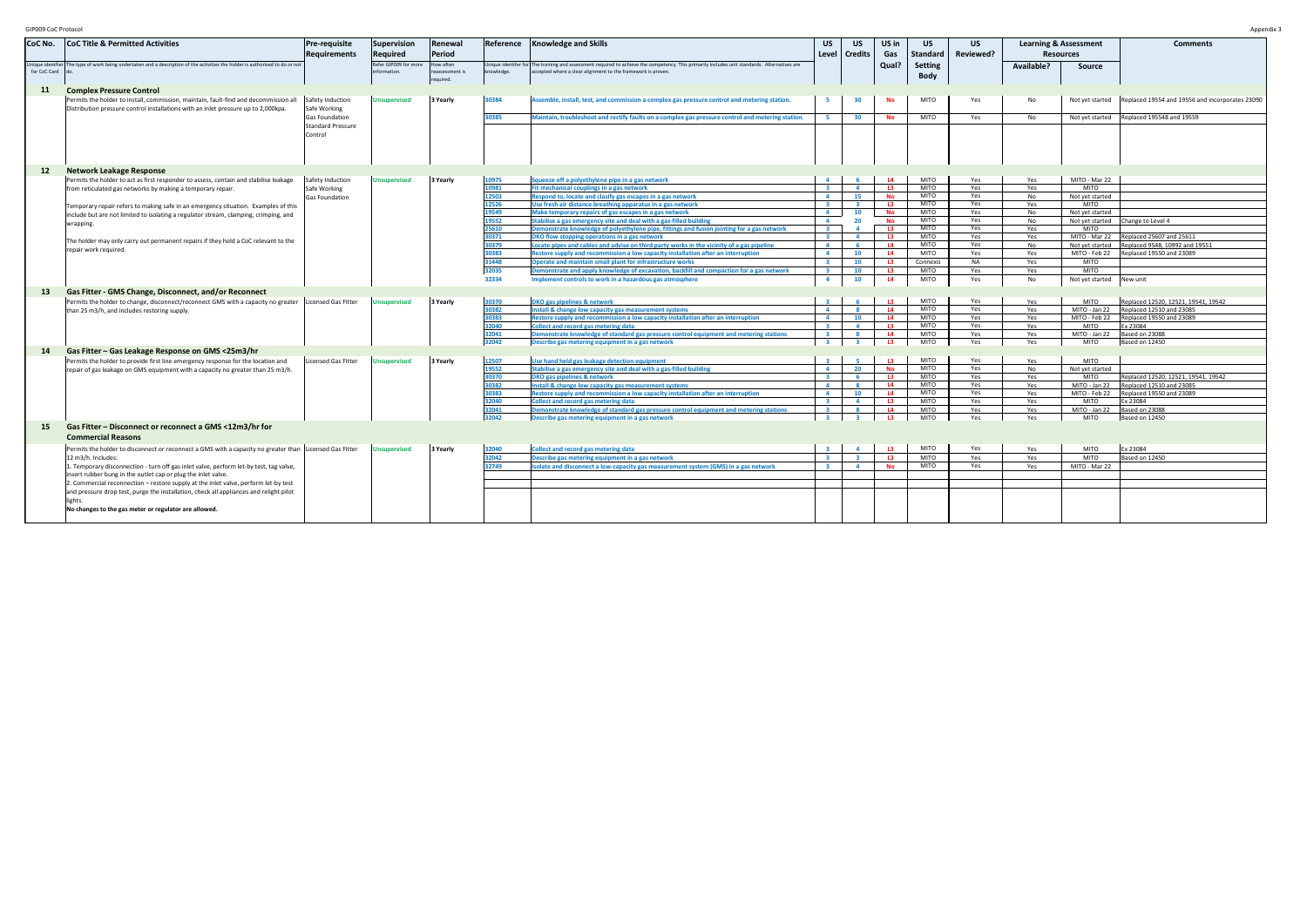| GIP009 CoC Protocol |                                                                                                                                                                            |                                                       |                                       |                                         |                |                                                                                                                                                                                                               |                                |                         |                 |                               |            |                                  |                                             | Appendix:                                       |
|---------------------|----------------------------------------------------------------------------------------------------------------------------------------------------------------------------|-------------------------------------------------------|---------------------------------------|-----------------------------------------|----------------|---------------------------------------------------------------------------------------------------------------------------------------------------------------------------------------------------------------|--------------------------------|-------------------------|-----------------|-------------------------------|------------|----------------------------------|---------------------------------------------|-------------------------------------------------|
| CoC No.             | <b>CoC Title &amp; Permitted Activities</b>                                                                                                                                | Pre-requisite                                         | <b>Supervision</b>                    | Renewal                                 |                | Reference   Knowledge and Skills                                                                                                                                                                              | US                             | US.                     | US in           | US.                           | US         | <b>Learning &amp; Assessment</b> |                                             | <b>Comments</b>                                 |
|                     |                                                                                                                                                                            | <b>Requirements</b>                                   | Required                              | Period                                  |                |                                                                                                                                                                                                               | Level                          | <b>Credits</b>          | Gas             | <b>Standard</b>               | Reviewed?  | <b>Resources</b>                 |                                             |                                                 |
| for CoC Card        | Unique identfier The type of work being undertaken and a description of the activities the holder is authorised to do or not                                               |                                                       | Refer GIP009 for more<br>information. | low often<br>eassessment is<br>equired. | knowledge.     | Unique identifer for The training and assessment required to achieve the competency. This primarily includes unit standards. Alternatives are<br>accepted where a clear alignment to the framework is proven. |                                |                         | Qual?           | <b>Setting</b><br><b>Body</b> |            | Available?                       | Source                                      |                                                 |
| 11                  | <b>Complex Pressure Control</b>                                                                                                                                            |                                                       |                                       |                                         |                |                                                                                                                                                                                                               |                                |                         |                 |                               |            |                                  |                                             |                                                 |
|                     | Permits the holder to install, commission, maintain, fault-find and decommission all<br>Distribution pressure control installations with an inlet pressure up to 2,000kpa. | Safety Induction<br>Safe Working                      | <b>Unsupervised</b>                   | 3 Yearly                                | 30384          | Assemble, install, test, and commission a complex gas pressure control and metering station.                                                                                                                  |                                | 30                      | No              | <b>MITO</b>                   | Yes        | No                               | Not yet started                             | Replaced 19554 and 19556 and incorporates 23090 |
|                     |                                                                                                                                                                            | Gas Foundation<br><b>Standard Pressure</b><br>Control |                                       |                                         | 30385          | Maintain, troubleshoot and rectify faults on a complex gas pressure control and metering station.                                                                                                             | 5                              | 30                      | No              | <b>MITO</b>                   | Yes        | No                               |                                             | Not yet started Replaced 195548 and 19559       |
|                     |                                                                                                                                                                            |                                                       |                                       |                                         |                |                                                                                                                                                                                                               |                                |                         |                 |                               |            |                                  |                                             |                                                 |
| 12                  | <b>Network Leakage Response</b>                                                                                                                                            |                                                       |                                       |                                         |                |                                                                                                                                                                                                               |                                |                         |                 |                               |            |                                  |                                             |                                                 |
|                     | Permits the holder to act as first responder to assess, contain and stabilise leakage                                                                                      | Safety Induction                                      | <b>Unsupervised</b>                   | 3 Yearly                                | 10975<br>10981 | Squeeze off a polyethylene pipe in a gas network                                                                                                                                                              | $\overline{2}$                 | $\overline{a}$          | L4<br>L3        | <b>MITO</b><br><b>MITO</b>    | Yes<br>Yes | Yes                              | MITO - Mar 22<br><b>MITO</b>                |                                                 |
|                     | from reticulated gas networks by making a temporary repair.                                                                                                                | Safe Working                                          |                                       |                                         | 12503          | Fit mechanical couplings in a gas network<br>Respond to, locate and clasify gas escapes in a gas network                                                                                                      | $\overline{a}$                 | 15                      | <b>No</b>       | <b>MITO</b>                   | Yes        | Yes<br>No                        | Not yet started                             |                                                 |
|                     |                                                                                                                                                                            | Gas Foundation                                        |                                       |                                         | 12526          | Use fresh air distance breathing apparatus in a gas network                                                                                                                                                   | $\mathbf{R}$                   | $\mathbf{R}$            | L3              | MITO                          | Yes        | Yes                              | <b>MITO</b>                                 |                                                 |
|                     | Temporary repair refers to making safe in an emergency situation. Examples of this                                                                                         |                                                       |                                       |                                         | 19549          | Make temporary repairs of gas escapes in a gas network                                                                                                                                                        | $\overline{4}$                 | 10                      | <b>No</b>       | MITO                          | Yes        | No                               | Not yet started                             |                                                 |
|                     | include but are not limited to isolating a regulator stream, clamping, crimping, and<br>wrapping.                                                                          |                                                       |                                       |                                         | 19552          | Stabilise a gas emergency site and deal with a gas-filled building                                                                                                                                            | $\overline{4}$                 | 20                      | No              | <b>MITO</b>                   | Yes        | No                               |                                             | Not yet started Change to Level 4               |
|                     |                                                                                                                                                                            |                                                       |                                       |                                         | 25610          | Demonstrate knowledge of polyethylene pipe, fittings and fusion jointing for a gas network                                                                                                                    | $\overline{\mathbf{3}}$        |                         | L3              | <b>MITO</b>                   | Yes        | Yes                              | <b>MITO</b>                                 |                                                 |
|                     | The holder may only carry out permanent repairs if they hold a CoC relevant to the                                                                                         |                                                       |                                       |                                         | 30371          | DKO flow stopping operations in a gas network                                                                                                                                                                 | $\overline{\mathbf{z}}$        | $\overline{a}$          | L3              | <b>MITO</b>                   | Yes        | Yes                              |                                             | MITO - Mar 22 Replaced 25607 and 25611          |
|                     | repair work required.                                                                                                                                                      |                                                       |                                       |                                         | 30379          | Locate pipes and cables and advise on third party works in the vicinity of a gas pipeline                                                                                                                     | $\overline{4}$                 | -6                      | L4              | <b>MITO</b>                   | Yes        | No                               |                                             | Not yet started Replaced 9548, 10992 and 19551  |
|                     |                                                                                                                                                                            |                                                       |                                       |                                         | 30383          | Restore supply and recommission a low capacity installation after an interruption                                                                                                                             | $\overline{4}$                 | 10                      | L4              | <b>MITO</b>                   | Yes        | Yes                              |                                             | MITO - Feb 22 Replaced 19550 and 23089          |
|                     |                                                                                                                                                                            |                                                       |                                       |                                         | 31448          | Operate and maintain small plant for infrastructure works                                                                                                                                                     | $\mathbf{3}$<br>$\overline{2}$ | 10                      | L3              | Connexis<br><b>MITO</b>       | <b>NA</b>  | Yes                              | <b>MITO</b>                                 |                                                 |
|                     |                                                                                                                                                                            |                                                       |                                       |                                         | 32035<br>32334 | Demonstrate and apply knowledge of excavation, backfill and compaction for a gas network                                                                                                                      |                                | 10                      | L3              | <b>MITO</b>                   | Yes        | Yes                              | <b>MITO</b>                                 |                                                 |
|                     |                                                                                                                                                                            |                                                       |                                       |                                         |                | Implement controls to work in a hazardous gas atmosphere                                                                                                                                                      | $\overline{4}$                 | 10                      | L4              |                               | Yes        | No                               | Not yet started New unit                    |                                                 |
| 13                  | Gas Fitter - GMS Change, Disconnect, and/or Reconnect                                                                                                                      |                                                       |                                       |                                         |                |                                                                                                                                                                                                               |                                |                         |                 |                               |            |                                  |                                             |                                                 |
|                     | Permits the holder to change, disconnect/reconnect GMS with a capacity no greater Licensed Gas Fitter                                                                      |                                                       | <b>Unsupervised</b>                   | 3 Yearly                                | 30370          | DKO gas pipelines & network                                                                                                                                                                                   |                                |                         | $\overline{13}$ | <b>MITO</b>                   | Yes        | Yes                              | <b>MITO</b>                                 | Replaced 12520, 12521, 19541, 19542             |
|                     | than 25 m3/h, and includes restoring supply.                                                                                                                               |                                                       |                                       |                                         | 30382          | Install & change low capacity gas measurement systems                                                                                                                                                         | $\overline{a}$                 | 8 <sup>1</sup>          | L4              | <b>MITO</b>                   | Yes        | Yes                              |                                             | MITO - Jan 22 Replaced 12510 and 23085          |
|                     |                                                                                                                                                                            |                                                       |                                       |                                         | 30383          | Restore supply and recommission a low capacity installation after an interruption                                                                                                                             | $\overline{a}$                 | 10                      | L4              | <b>MITO</b>                   | Yes        | Yes                              |                                             | MITO - Feb 22 Replaced 19550 and 23089          |
|                     |                                                                                                                                                                            |                                                       |                                       |                                         | 32040          | <b>Collect and record gas metering data</b>                                                                                                                                                                   | $\overline{2}$                 | $\overline{a}$          | L3              | <b>MITO</b>                   | Yes        | Yes                              | <b>MITO</b>                                 | Ex 23084                                        |
|                     |                                                                                                                                                                            |                                                       |                                       |                                         | 32041<br>32042 | Demonstrate knowledge of standard gas pressure control equipment and metering stations<br>Describe gas metering equipment in a gas network                                                                    | $\mathbf{R}$                   | $\overline{\mathbf{3}}$ | L4<br>L3        | <b>MITO</b><br><b>MITO</b>    | Yes<br>Yes | Yes<br>Yes                       | MITO - Jan 22 Based on 23088<br><b>MITO</b> | Based on 12450                                  |
|                     | Gas Fitter - Gas Leakage Response on GMS <25m3/hr                                                                                                                          |                                                       |                                       |                                         |                |                                                                                                                                                                                                               |                                |                         |                 |                               |            |                                  |                                             |                                                 |
| 14                  |                                                                                                                                                                            |                                                       |                                       |                                         |                |                                                                                                                                                                                                               |                                |                         | $\overline{12}$ | <b>MITO</b>                   | Yes        |                                  | <b>MITO</b>                                 |                                                 |
|                     | Permits the holder to provide first line emergency response for the location and                                                                                           | Licensed Gas Fitter                                   | Jnsupervised                          | 3 Yearly                                | 12507<br>19552 | Use hand held gas leakage detection equipment<br>Stabilise a gas emergency site and deal with a gas-filled building                                                                                           | $\overline{a}$                 | 20                      | <b>No</b>       | <b>MITO</b>                   | Yes        | Yes<br>No                        | Not yet started                             |                                                 |
|                     | repair of gas leakage on GMS equipment with a capacity no greater than 25 m3/h.                                                                                            |                                                       |                                       |                                         | 30370          | <b>DKO gas pipelines &amp; network</b>                                                                                                                                                                        |                                | $\overline{a}$          | L3              | <b>MITO</b>                   | Yes        | Yes                              | MITO                                        | Replaced 12520, 12521, 19541, 19542             |
|                     |                                                                                                                                                                            |                                                       |                                       |                                         | 30382          | Install & change low capacity gas measurement systems                                                                                                                                                         | $\overline{a}$                 | $\overline{\mathbf{8}}$ | <b>L4</b>       | <b>MITO</b>                   | Yes        | Yes                              |                                             | MITO - Jan 22   Replaced 12510 and 23085        |
|                     |                                                                                                                                                                            |                                                       |                                       |                                         | 30383          | Restore supply and recommission a low capacity installation after an interruption                                                                                                                             | $\overline{a}$                 | 10 <sup>1</sup>         | L4              | <b>MITO</b>                   | Yes        | Yes                              |                                             | MITO - Feb 22 Replaced 19550 and 23089          |
|                     |                                                                                                                                                                            |                                                       |                                       |                                         | 32040          | <b>Collect and record gas metering data</b>                                                                                                                                                                   | $\mathbf{R}$                   | $\overline{4}$          | L3              | <b>MITO</b>                   | Yes        | Yes                              | MITO                                        | Ex 23084                                        |
|                     |                                                                                                                                                                            |                                                       |                                       |                                         | 32041          | Demonstrate knowledge of standard gas pressure control equipment and metering stations                                                                                                                        | $\overline{2}$                 | $\bullet$               | L4              | <b>MITO</b>                   | Yes        | Yes                              | MITO - Jan 22                               | Based on 23088                                  |
|                     |                                                                                                                                                                            |                                                       |                                       |                                         | 32042          | Describe gas metering equipment in a gas network                                                                                                                                                              | $\mathbf{R}$                   | $\mathbf{R}$            | L3              | <b>MITO</b>                   | Yes        | Yes                              | <b>MITO</b>                                 | Based on 12450                                  |
| 15                  | Gas Fitter - Disconnect or reconnect a GMS <12m3/hr for<br><b>Commercial Reasons</b>                                                                                       |                                                       |                                       |                                         |                |                                                                                                                                                                                                               |                                |                         |                 |                               |            |                                  |                                             |                                                 |
|                     | Permits the holder to disconnect or reconnect a GMS with a capacity no greater than Licensed Gas Fitter                                                                    |                                                       | Unsupervised                          | 3 Yearly                                | 32040          | <b>Collect and record gas metering data</b>                                                                                                                                                                   | $\overline{2}$                 | $\overline{a}$          | L3              | <b>MITO</b>                   | Yes        | Yes                              | <b>MITO</b>                                 | Ex 23084                                        |
|                     | 12 m3/h. Includes:                                                                                                                                                         |                                                       |                                       |                                         | 32042          | Describe gas metering equipment in a gas network                                                                                                                                                              | $\mathbf{R}$                   | $\overline{\mathbf{3}}$ | L3              | <b>MITO</b>                   | Yes        | Yes                              | <b>MITO</b>                                 | Based on 12450                                  |
|                     | 1. Temporary disconnection - turn off gas inlet valve, perform let-by test, tag valve,                                                                                     |                                                       |                                       |                                         | 32749          | solate and disconnect a low-capacity gas measurement system (GMS) in a gas network                                                                                                                            | $\overline{\mathbf{3}}$        | $\overline{a}$          | <b>No</b>       | <b>MITO</b>                   | Yes        | Yes                              | MITO - Mar 22                               |                                                 |
|                     | insert rubber bung in the outlet cap or plug the inlet valve.                                                                                                              |                                                       |                                       |                                         |                |                                                                                                                                                                                                               |                                |                         |                 |                               |            |                                  |                                             |                                                 |
|                     | 2. Commercial reconnection - restore supply at the inlet valve, perform let-by test                                                                                        |                                                       |                                       |                                         |                |                                                                                                                                                                                                               |                                |                         |                 |                               |            |                                  |                                             |                                                 |
|                     | and pressure drop test, purge the installation, check all appliances and relight pilot                                                                                     |                                                       |                                       |                                         |                |                                                                                                                                                                                                               |                                |                         |                 |                               |            |                                  |                                             |                                                 |
|                     | lights.                                                                                                                                                                    |                                                       |                                       |                                         |                |                                                                                                                                                                                                               |                                |                         |                 |                               |            |                                  |                                             |                                                 |
|                     | No changes to the gas meter or regulator are allowed.                                                                                                                      |                                                       |                                       |                                         |                |                                                                                                                                                                                                               |                                |                         |                 |                               |            |                                  |                                             |                                                 |